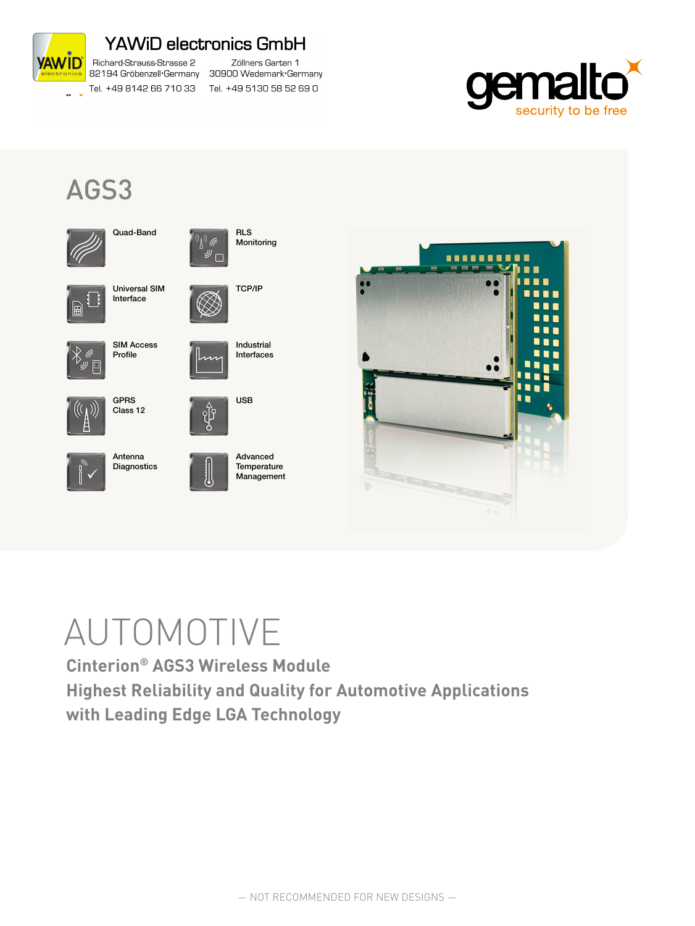

## AGS3



Quad-Band



Universal SIM Interface



SIM Access Profile









Advanced **Temperature** Management

**RLS** Monitoring

((c)) (F ゚゙゙゙<sup>゙゚</sup>゚゚゚゚

TCP/IP

Industrial Interfaces

USB



# AUTOMOTIVE

**Cinterion® AGS3 Wireless Module Highest Reliability and Quality for Automotive Applications with Leading Edge LGA Technology**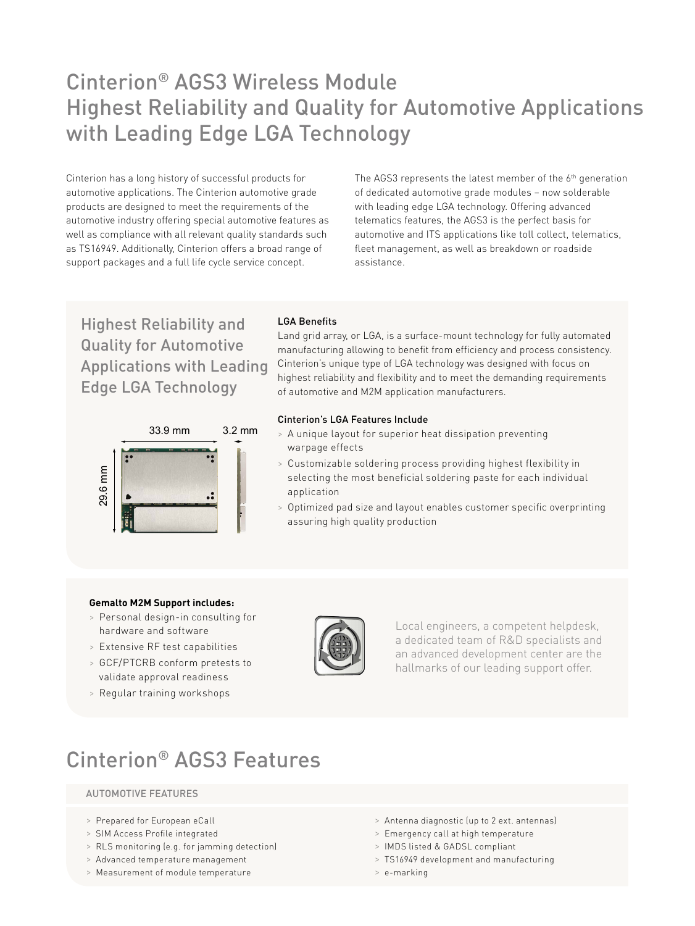### Cinterion® AGS3 Wireless Module Highest Reliability and Quality for Automotive Applications with Leading Edge LGA Technology

Cinterion has a long history of successful products for automotive applications. The Cinterion automotive grade products are designed to meet the requirements of the automotive industry offering special automotive features as well as compliance with all relevant quality standards such as TS16949. Additionally, Cinterion offers a broad range of support packages and a full life cycle service concept.

The AGS3 represents the latest member of the  $6<sup>th</sup>$  generation of dedicated automotive grade modules – now solderable with leading edge LGA technology. Offering advanced telematics features, the AGS3 is the perfect basis for automotive and ITS applications like toll collect, telematics, fleet management, as well as breakdown or roadside assistance.

Highest Reliability and Quality for Automotive Applications with Leading Edge LGA Technology



#### LGA Benefits

Land grid array, or LGA, is a surface-mount technology for fully automated manufacturing allowing to benefit from efficiency and process consistency. Cinterion's unique type of LGA technology was designed with focus on highest reliability and flexibility and to meet the demanding requirements of automotive and M2M application manufacturers.

#### Cinterion's LGA Features Include

- > A unique layout for superior heat dissipation preventing warpage effects
- > Customizable soldering process providing highest flexibility in selecting the most beneficial soldering paste for each individual application
- > Optimized pad size and layout enables customer specific overprinting assuring high quality production

#### **Gemalto M2M Support includes:**

- > Personal design-in consulting for hardware and software
- > Extensive RF test capabilities
- > GCF/PTCRB conform pretests to validate approval readiness
- 

Local engineers, a competent helpdesk, a dedicated team of R&D specialists and an advanced development center are the hallmarks of our leading support offer.

### Cinterion® AGS3 Features

#### AUTOMOTIVE FEATURES

- > Prepared for European eCall
- > SIM Access Profile integrated
- > RLS monitoring (e.g. for jamming detection)
- > Advanced temperature management
- > Measurement of module temperature
- > Antenna diagnostic (up to 2 ext. antennas)
- > Emergency call at high temperature
- > IMDS listed & GADSL compliant
- > TS16949 development and manufacturing
- > e-marking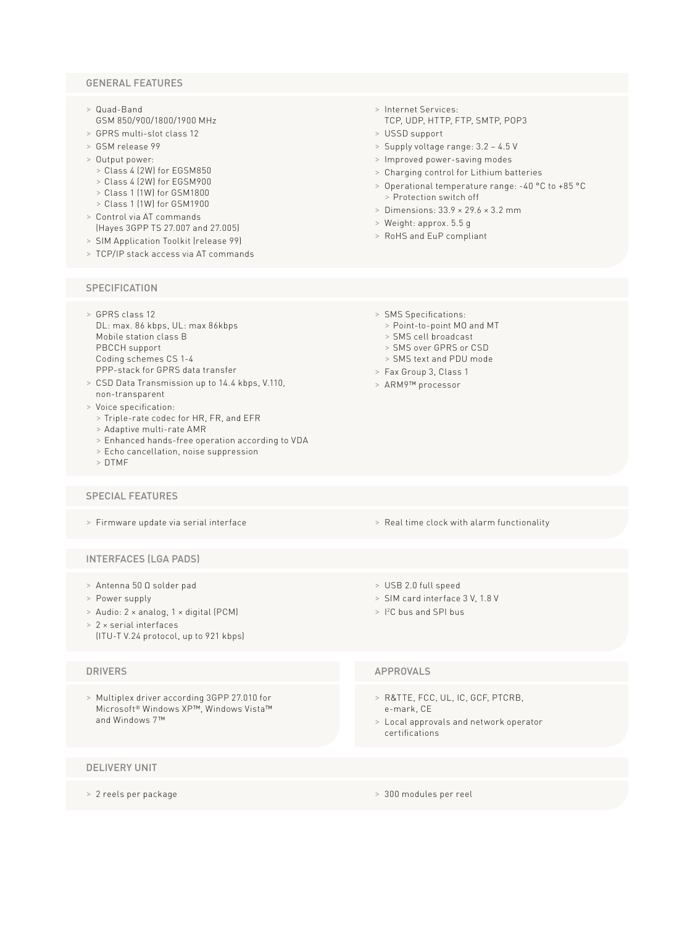#### GENERAL FEATURES

- > Quad-Band GSM 850/900/1800/1900 MHz
- > GPRS multi-slot class 12
- > GSM release 99
- > Output power:
	- > Class 4 (2W) for EGSM850
- > Class 4 (2W) for EGSM900
- > Class 1 (1W) for GSM1800 > Class 1 (1W) for GSM1900
- 
- > Control via AT commands (Hayes 3GPP TS 27.007 and 27.005)
- > SIM Application Toolkit (release 99)
- > TCP/IP stack access via AT commands

#### **SPECIFICATION**

- > GPRS class 12 DL: max. 86 kbps, UL: max 86kbps Mobile station class B PBCCH support Coding schemes CS 1-4 PPP-stack for GPRS data transfer
- > CSD Data Transmission up to 14.4 kbps, V.110, non-transparent
- > Voice specification:
	- > Triple-rate codec for HR, FR, and EFR
	- > Adaptive multi-rate AMR
	- > Enhanced hands-free operation according to VDA
	- > Echo cancellation, noise suppression
	- > DTMF

#### SPECIAL FEATURES

> Firmware update via serial interface

#### INTERFACES (LGA PADS)

- > Antenna 50 Ω solder pad
- > Power supply
- > Audio: 2 × analog, 1 × digital (PCM)
- > 2 × serial interfaces (ITU-T V.24 protocol, up to 921 kbps)

> Multiplex driver according 3GPP 27.010 for Microsoft® Windows XP™, Windows Vista™ and Windows 7™

#### DELIVERY UNIT

> 2 reels per package

- > Internet Services: TCP, UDP, HTTP, FTP, SMTP, POP3
- > USSD support
- > Supply voltage range: 3.2 4.5 V
- > Improved power-saving modes
- > Charging control for Lithium batteries
- > Operational temperature range: -40 °C to +85 °C > Protection switch off
- > Dimensions: 33.9 × 29.6 × 3.2 mm
- > Weight: approx. 5.5 g
- > RoHS and EuP compliant
- > SMS Specifications:
	- > Point-to-point MO and MT
	- > SMS cell broadcast
	- > SMS over GPRS or CSD
	- > SMS text and PDU mode
- > Fax Group 3, Class 1
- > ARM9™ processor

- > Real time clock with alarm functionality
- > USB 2.0 full speed
- > SIM card interface 3 V, 1.8 V
- > I 2C bus and SPI bus

#### DRIVERS APPROVALS

- > R&TTE, FCC, UL, IC, GCF, PTCRB, e-mark, CE
- > Local approvals and network operator certifications
- > 300 modules per reel